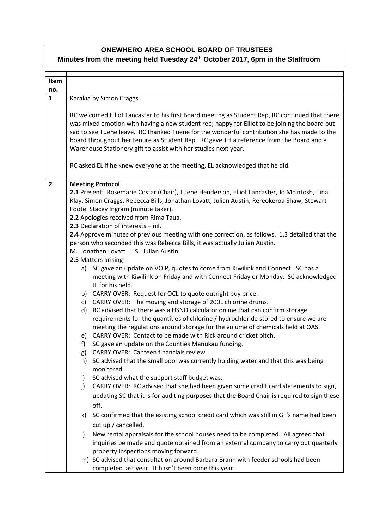## **ONEWHERO AREA SCHOOL BOARD OF TRUSTEES Minutes from the meeting held Tuesday 24th October 2017, 6pm in the Staffroom**

| Item           |                                                                                                                                                                                                                                                                                                                                                                                                                                                               |                                                                                                                                                                                            |  |
|----------------|---------------------------------------------------------------------------------------------------------------------------------------------------------------------------------------------------------------------------------------------------------------------------------------------------------------------------------------------------------------------------------------------------------------------------------------------------------------|--------------------------------------------------------------------------------------------------------------------------------------------------------------------------------------------|--|
| no.            |                                                                                                                                                                                                                                                                                                                                                                                                                                                               |                                                                                                                                                                                            |  |
| $\mathbf{1}$   | Karakia by Simon Craggs.                                                                                                                                                                                                                                                                                                                                                                                                                                      |                                                                                                                                                                                            |  |
|                | RC welcomed Elliot Lancaster to his first Board meeting as Student Rep, RC continued that there<br>was mixed emotion with having a new student rep; happy for Elliot to be joining the board but<br>sad to see Tuene leave. RC thanked Tuene for the wonderful contribution she has made to the<br>board throughout her tenure as Student Rep. RC gave TH a reference from the Board and a<br>Warehouse Stationery gift to assist with her studies next year. |                                                                                                                                                                                            |  |
|                |                                                                                                                                                                                                                                                                                                                                                                                                                                                               | RC asked EL if he knew everyone at the meeting, EL acknowledged that he did.                                                                                                               |  |
| $\overline{2}$ |                                                                                                                                                                                                                                                                                                                                                                                                                                                               | <b>Meeting Protocol</b>                                                                                                                                                                    |  |
|                | 2.1 Present: Rosemarie Costar (Chair), Tuene Henderson, Elliot Lancaster, Jo McIntosh, Tina<br>Klay, Simon Craggs, Rebecca Bills, Jonathan Lovatt, Julian Austin, Rereokeroa Shaw, Stewart<br>Foote, Stacey Ingram (minute taker).<br>2.2 Apologies received from Rima Taua.                                                                                                                                                                                  |                                                                                                                                                                                            |  |
|                |                                                                                                                                                                                                                                                                                                                                                                                                                                                               | 2.3 Declaration of interests - nil.                                                                                                                                                        |  |
|                |                                                                                                                                                                                                                                                                                                                                                                                                                                                               | 2.4 Approve minutes of previous meeting with one correction, as follows. 1.3 detailed that the                                                                                             |  |
|                |                                                                                                                                                                                                                                                                                                                                                                                                                                                               | person who seconded this was Rebecca Bills, it was actually Julian Austin.                                                                                                                 |  |
|                |                                                                                                                                                                                                                                                                                                                                                                                                                                                               | M. Jonathan Lovatt<br>S. Julian Austin                                                                                                                                                     |  |
|                |                                                                                                                                                                                                                                                                                                                                                                                                                                                               | 2.5 Matters arising                                                                                                                                                                        |  |
|                |                                                                                                                                                                                                                                                                                                                                                                                                                                                               | a) SC gave an update on VOIP, quotes to come from Kiwilink and Connect. SC has a<br>meeting with Kiwilink on Friday and with Connect Friday or Monday. SC acknowledged<br>JL for his help. |  |
|                |                                                                                                                                                                                                                                                                                                                                                                                                                                                               | b) CARRY OVER: Request for OCL to quote outright buy price.                                                                                                                                |  |
|                | c)                                                                                                                                                                                                                                                                                                                                                                                                                                                            | CARRY OVER: The moving and storage of 200L chlorine drums.                                                                                                                                 |  |
|                | d)                                                                                                                                                                                                                                                                                                                                                                                                                                                            | RC advised that there was a HSNO calculator online that can confirm storage                                                                                                                |  |
|                |                                                                                                                                                                                                                                                                                                                                                                                                                                                               | requirements for the quantities of chlorine / hydrochloride stored to ensure we are                                                                                                        |  |
|                |                                                                                                                                                                                                                                                                                                                                                                                                                                                               | meeting the regulations around storage for the volume of chemicals held at OAS.                                                                                                            |  |
|                | e)                                                                                                                                                                                                                                                                                                                                                                                                                                                            | CARRY OVER: Contact to be made with Rick around cricket pitch.                                                                                                                             |  |
|                | f)<br>g)                                                                                                                                                                                                                                                                                                                                                                                                                                                      | SC gave an update on the Counties Manukau funding.<br>CARRY OVER: Canteen financials review.                                                                                               |  |
|                | h)                                                                                                                                                                                                                                                                                                                                                                                                                                                            | SC advised that the small pool was currently holding water and that this was being<br>monitored.                                                                                           |  |
|                | i)                                                                                                                                                                                                                                                                                                                                                                                                                                                            | SC advised what the support staff budget was.                                                                                                                                              |  |
|                | j)                                                                                                                                                                                                                                                                                                                                                                                                                                                            | CARRY OVER: RC advised that she had been given some credit card statements to sign,                                                                                                        |  |
|                |                                                                                                                                                                                                                                                                                                                                                                                                                                                               | updating SC that it is for auditing purposes that the Board Chair is required to sign these                                                                                                |  |
|                |                                                                                                                                                                                                                                                                                                                                                                                                                                                               | off.                                                                                                                                                                                       |  |
|                | k)                                                                                                                                                                                                                                                                                                                                                                                                                                                            | SC confirmed that the existing school credit card which was still in GF's name had been                                                                                                    |  |
|                |                                                                                                                                                                                                                                                                                                                                                                                                                                                               | cut up / cancelled.                                                                                                                                                                        |  |
|                | $\vert$                                                                                                                                                                                                                                                                                                                                                                                                                                                       | New rental appraisals for the school houses need to be completed. All agreed that<br>inquiries be made and quote obtained from an external company to carry out quarterly                  |  |
|                |                                                                                                                                                                                                                                                                                                                                                                                                                                                               | property inspections moving forward.                                                                                                                                                       |  |
|                |                                                                                                                                                                                                                                                                                                                                                                                                                                                               | m) SC advised that consultation around Barbara Brann with feeder schools had been<br>completed last year. It hasn't been done this year.                                                   |  |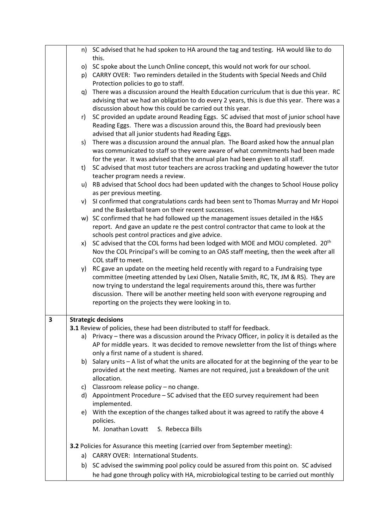|                         |    | n) SC advised that he had spoken to HA around the tag and testing. HA would like to do          |
|-------------------------|----|-------------------------------------------------------------------------------------------------|
|                         |    | this.                                                                                           |
|                         |    |                                                                                                 |
|                         |    | o) SC spoke about the Lunch Online concept, this would not work for our school.                 |
|                         |    | p) CARRY OVER: Two reminders detailed in the Students with Special Needs and Child              |
|                         |    | Protection policies to go to staff.                                                             |
|                         | q) | There was a discussion around the Health Education curriculum that is due this year. RC         |
|                         |    | advising that we had an obligation to do every 2 years, this is due this year. There was a      |
|                         |    | discussion about how this could be carried out this year.                                       |
|                         | r) | SC provided an update around Reading Eggs. SC advised that most of junior school have           |
|                         |    | Reading Eggs. There was a discussion around this, the Board had previously been                 |
|                         |    | advised that all junior students had Reading Eggs.                                              |
|                         | s) | There was a discussion around the annual plan. The Board asked how the annual plan              |
|                         |    | was communicated to staff so they were aware of what commitments had been made                  |
|                         |    | for the year. It was advised that the annual plan had been given to all staff.                  |
|                         | t) | SC advised that most tutor teachers are across tracking and updating however the tutor          |
|                         |    | teacher program needs a review.                                                                 |
|                         |    | u) RB advised that School docs had been updated with the changes to School House policy         |
|                         |    |                                                                                                 |
|                         |    | as per previous meeting.                                                                        |
|                         |    | v) SI confirmed that congratulations cards had been sent to Thomas Murray and Mr Hopoi          |
|                         |    | and the Basketball team on their recent successes.                                              |
|                         |    | w) SC confirmed that he had followed up the management issues detailed in the H&S               |
|                         |    | report. And gave an update re the pest control contractor that came to look at the              |
|                         |    | schools pest control practices and give advice.                                                 |
|                         | x) | SC advised that the COL forms had been lodged with MOE and MOU completed. 20 <sup>th</sup>      |
|                         |    | Nov the COL Principal's will be coming to an OAS staff meeting, then the week after all         |
|                         |    | COL staff to meet.                                                                              |
|                         |    | y) RC gave an update on the meeting held recently with regard to a Fundraising type             |
|                         |    | committee (meeting attended by Lexi Olsen, Natalie Smith, RC, TK, JM & RS). They are            |
|                         |    | now trying to understand the legal requirements around this, there was further                  |
|                         |    | discussion. There will be another meeting held soon with everyone regrouping and                |
|                         |    | reporting on the projects they were looking in to.                                              |
|                         |    |                                                                                                 |
| $\overline{\mathbf{3}}$ |    | <b>Strategic decisions</b>                                                                      |
|                         |    | 3.1 Review of policies, these had been distributed to staff for feedback.                       |
|                         |    | a) Privacy - there was a discussion around the Privacy Officer, in policy it is detailed as the |
|                         |    | AP for middle years. It was decided to remove newsletter from the list of things where          |
|                         |    | only a first name of a student is shared.                                                       |
|                         |    | b) Salary units - A list of what the units are allocated for at the beginning of the year to be |
|                         |    | provided at the next meeting. Names are not required, just a breakdown of the unit              |
|                         |    | allocation.                                                                                     |
|                         | C) | Classroom release policy - no change.                                                           |
|                         |    | d) Appointment Procedure - SC advised that the EEO survey requirement had been                  |
|                         |    | implemented.                                                                                    |
|                         |    | With the exception of the changes talked about it was agreed to ratify the above 4              |
|                         | e) |                                                                                                 |
|                         |    | policies.                                                                                       |
|                         |    | M. Jonathan Lovatt<br>S. Rebecca Bills                                                          |
|                         |    | 3.2 Policies for Assurance this meeting (carried over from September meeting):                  |
|                         |    |                                                                                                 |
|                         |    | a) CARRY OVER: International Students.                                                          |
|                         |    | b) SC advised the swimming pool policy could be assured from this point on. SC advised          |
|                         |    | he had gone through policy with HA, microbiological testing to be carried out monthly           |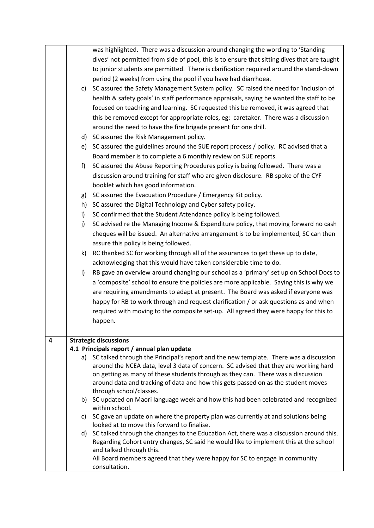|   |         | was highlighted. There was a discussion around changing the wording to 'Standing                                                                                                 |
|---|---------|----------------------------------------------------------------------------------------------------------------------------------------------------------------------------------|
|   |         | dives' not permitted from side of pool, this is to ensure that sitting dives that are taught                                                                                     |
|   |         | to junior students are permitted. There is clarification required around the stand-down                                                                                          |
|   |         | period (2 weeks) from using the pool if you have had diarrhoea.                                                                                                                  |
|   | c)      | SC assured the Safety Management System policy. SC raised the need for 'inclusion of                                                                                             |
|   |         | health & safety goals' in staff performance appraisals, saying he wanted the staff to be                                                                                         |
|   |         | focused on teaching and learning. SC requested this be removed, it was agreed that                                                                                               |
|   |         | this be removed except for appropriate roles, eg: caretaker. There was a discussion                                                                                              |
|   |         | around the need to have the fire brigade present for one drill.                                                                                                                  |
|   |         | d) SC assured the Risk Management policy.                                                                                                                                        |
|   |         | e) SC assured the guidelines around the SUE report process / policy. RC advised that a                                                                                           |
|   |         | Board member is to complete a 6 monthly review on SUE reports.                                                                                                                   |
|   | f)      | SC assured the Abuse Reporting Procedures policy is being followed. There was a                                                                                                  |
|   |         | discussion around training for staff who are given disclosure. RB spoke of the CYF                                                                                               |
|   |         | booklet which has good information.                                                                                                                                              |
|   | g)      | SC assured the Evacuation Procedure / Emergency Kit policy.                                                                                                                      |
|   | h)      | SC assured the Digital Technology and Cyber safety policy.                                                                                                                       |
|   | i)      | SC confirmed that the Student Attendance policy is being followed.                                                                                                               |
|   | j)      | SC advised re the Managing Income & Expenditure policy, that moving forward no cash                                                                                              |
|   |         | cheques will be issued. An alternative arrangement is to be implemented, SC can then                                                                                             |
|   |         | assure this policy is being followed.                                                                                                                                            |
|   | k)      | RC thanked SC for working through all of the assurances to get these up to date,                                                                                                 |
|   |         | acknowledging that this would have taken considerable time to do.                                                                                                                |
|   | $\vert$ | RB gave an overview around changing our school as a 'primary' set up on School Docs to                                                                                           |
|   |         | a 'composite' school to ensure the policies are more applicable. Saying this is why we                                                                                           |
|   |         | are requiring amendments to adapt at present. The Board was asked if everyone was                                                                                                |
|   |         | happy for RB to work through and request clarification / or ask questions as and when                                                                                            |
|   |         | required with moving to the composite set-up. All agreed they were happy for this to                                                                                             |
|   |         | happen.                                                                                                                                                                          |
|   |         |                                                                                                                                                                                  |
| 4 |         | <b>Strategic discussions</b>                                                                                                                                                     |
|   |         | 4.1 Principals report / annual plan update                                                                                                                                       |
|   |         | a) SC talked through the Principal's report and the new template. There was a discussion<br>around the NCEA data, level 3 data of concern. SC advised that they are working hard |
|   |         | on getting as many of these students through as they can. There was a discussion                                                                                                 |
|   |         | around data and tracking of data and how this gets passed on as the student moves                                                                                                |
|   |         | through school/classes.                                                                                                                                                          |
|   |         | b) SC updated on Maori language week and how this had been celebrated and recognized                                                                                             |
|   |         | within school.                                                                                                                                                                   |
|   |         | c) SC gave an update on where the property plan was currently at and solutions being<br>looked at to move this forward to finalise.                                              |
|   |         | d) SC talked through the changes to the Education Act, there was a discussion around this.                                                                                       |
|   |         | Regarding Cohort entry changes, SC said he would like to implement this at the school                                                                                            |
|   |         | and talked through this.                                                                                                                                                         |
|   |         | All Board members agreed that they were happy for SC to engage in community                                                                                                      |
|   |         | consultation.                                                                                                                                                                    |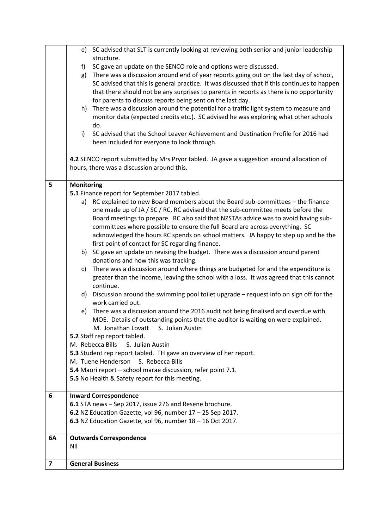|    |                                                              | e) SC advised that SLT is currently looking at reviewing both senior and junior leadership  |  |
|----|--------------------------------------------------------------|---------------------------------------------------------------------------------------------|--|
|    |                                                              | structure.                                                                                  |  |
|    | f)                                                           | SC gave an update on the SENCO role and options were discussed.                             |  |
|    | g)                                                           | There was a discussion around end of year reports going out on the last day of school,      |  |
|    |                                                              | SC advised that this is general practice. It was discussed that if this continues to happen |  |
|    |                                                              | that there should not be any surprises to parents in reports as there is no opportunity     |  |
|    |                                                              | for parents to discuss reports being sent on the last day.                                  |  |
|    | h)                                                           | There was a discussion around the potential for a traffic light system to measure and       |  |
|    |                                                              | monitor data (expected credits etc.). SC advised he was exploring what other schools        |  |
|    | do.                                                          |                                                                                             |  |
|    | i)                                                           | SC advised that the School Leaver Achievement and Destination Profile for 2016 had          |  |
|    |                                                              | been included for everyone to look through.                                                 |  |
|    |                                                              |                                                                                             |  |
|    |                                                              | 4.2 SENCO report submitted by Mrs Pryor tabled. JA gave a suggestion around allocation of   |  |
|    |                                                              | hours, there was a discussion around this.                                                  |  |
|    |                                                              |                                                                                             |  |
| 5  | <b>Monitoring</b>                                            |                                                                                             |  |
|    |                                                              | 5.1 Finance report for September 2017 tabled.                                               |  |
|    |                                                              | a) RC explained to new Board members about the Board sub-committees - the finance           |  |
|    |                                                              | one made up of JA / SC / RC, RC advised that the sub-committee meets before the             |  |
|    |                                                              | Board meetings to prepare. RC also said that NZSTAs advice was to avoid having sub-         |  |
|    |                                                              | committees where possible to ensure the full Board are across everything. SC                |  |
|    |                                                              | acknowledged the hours RC spends on school matters. JA happy to step up and be the          |  |
|    |                                                              | first point of contact for SC regarding finance.                                            |  |
|    |                                                              | b) SC gave an update on revising the budget. There was a discussion around parent           |  |
|    |                                                              | donations and how this was tracking.                                                        |  |
|    | c)                                                           | There was a discussion around where things are budgeted for and the expenditure is          |  |
|    |                                                              | greater than the income, leaving the school with a loss. It was agreed that this cannot     |  |
|    |                                                              | continue.                                                                                   |  |
|    |                                                              | d) Discussion around the swimming pool toilet upgrade - request info on sign off for the    |  |
|    |                                                              | work carried out.                                                                           |  |
|    |                                                              |                                                                                             |  |
|    |                                                              | e) There was a discussion around the 2016 audit not being finalised and overdue with        |  |
|    |                                                              | MOE. Details of outstanding points that the auditor is waiting on were explained.           |  |
|    |                                                              | M. Jonathan Lovatt<br>S. Julian Austin                                                      |  |
|    |                                                              | 5.2 Staff rep report tabled.                                                                |  |
|    | M. Rebecca Bills                                             | S. Julian Austin                                                                            |  |
|    |                                                              | 5.3 Student rep report tabled. TH gave an overview of her report.                           |  |
|    |                                                              | M. Tuene Henderson<br>S. Rebecca Bills                                                      |  |
|    |                                                              | 5.4 Maori report - school marae discussion, refer point 7.1.                                |  |
|    |                                                              | 5.5 No Health & Safety report for this meeting.                                             |  |
|    |                                                              |                                                                                             |  |
| 6  |                                                              | <b>Inward Correspondence</b>                                                                |  |
|    |                                                              | 6.1 STA news - Sep 2017, issue 276 and Resene brochure.                                     |  |
|    | 6.2 NZ Education Gazette, vol 96, number $17 - 25$ Sep 2017. |                                                                                             |  |
|    |                                                              | 6.3 NZ Education Gazette, vol 96, number 18 - 16 Oct 2017.                                  |  |
|    |                                                              |                                                                                             |  |
| 6A |                                                              | <b>Outwards Correspondence</b>                                                              |  |
|    | Nil                                                          |                                                                                             |  |
|    | <b>General Business</b>                                      |                                                                                             |  |
| 7  |                                                              |                                                                                             |  |